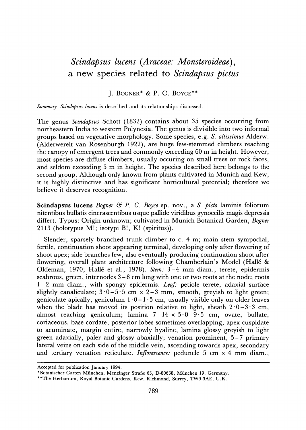## **Scindapsus lucens (Araceae: Monsteroideae), a new species related to Scindapsus pictus**

**J. BOGNER\* & P. C. BOYCE\*\*** 

**Summary. Scindapsus lucens is described and its relationships discussed.** 

**The genus Scindapsus Schott (1832) contains about 35 species occurring from northeastern India to western Polynesia. The genus is divisible into two informal groups based on vegetative morphology. Some species, e.g. S. altissimus Alderw. (Alderwerelt van Rosenburgh 1922), are huge few-stemmed climbers reaching the canopy of emergent trees and commonly exceeding 60 m in height. However, most species are diffuse climbers, usually occuring on small trees or rock faces, and seldom exceeding 5 m in height. The species described here belongs to the second group. Although only known from plants cultivated in Munich and Kew, it is highly distinctive and has significant horticultural potential; therefore we believe it deserves recognition.** 

**Scindapsus lucens Bogner & P. C. Boyce sp. nov., a S. picto laminis foliorum nitentibus bullatis cinerascentibus usque pallide viridibus gynoecilis magis depressis differt. Typus: Origin unknown; cultivated in Munich Botanical Garden, Bogner 2113 (holotypus M!; isotypi B!, K! (spiritus)).** 

**Slender, sparsely branched trunk climber to c. 4 m; main stem sympodial, fertile, continuation shoot appearing terminal, developing only after flowering of shoot apex; side branches few, also eventually producing continuation shoot after flowering, overall plant architecture following Chamberlain's Model (Halle & Oldeman, 1970; Halle et al., 1978). Stem: 3-4 mm diam., terete, epidermis scabrous, green, internodes 3-8 cm long with one or two roots at the node; roots 1-2 mm diam., with spongy epidermis. Leaf: petiole terete, adaxial surface**  slightly canaliculate;  $3.0 - 5.5$  cm  $\times$  2-3 mm, smooth, grevish to light green; geniculate apically, geniculum  $1 \cdot 0 - 1 \cdot 5$  cm, usually visible only on older leaves when the blade has moved its position relative to light, sheath  $2.0-3.3$  cm, **almost reaching geniculum; lamina 7-14 x 5-0-9-5 cm, ovate, bullate, coriaceous, base cordate, posterior lobes sometimes overlapping, apex cuspidate to acuminate, margin entire, narrowly hyaline, lamina glossy greyish to light green adaxially, paler and glossy abaxially; venation prominent, 5-7 primary lateral veins on each side of the middle vein, ascending towards apex, secondary and tertiary venation reticulate. Inflorescence: peduncle 5 cm x 4 mm diam.,** 

**Accepted for publication January 1994.** 

<sup>\*</sup>Botanischer Garten München, Menzinger Straße 63, D-80638, München 19, Germany.

**<sup>\*\*</sup>The Herbarium, Royal Botanic Gardens, Kew, Richmond, Surrey, TW9 3AE, U.K.**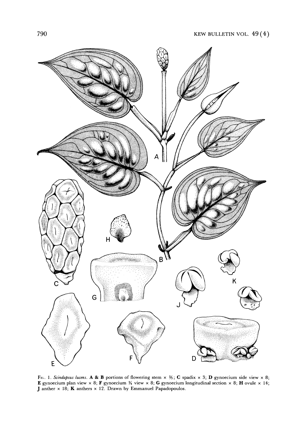

FIG. 1. Scindapsus lucens. A & B portions of flowering stem  $\times$   $\frac{2}{3}$ ; **C** spadix  $\times$  3; **D** gynoecium side view  $\times$  8; **E** gynoecium plan view  $\times$  8; **F** gynoecium  $\frac{y}{x}$  view  $\times$  8; **G** gynoecium longitudinal section  $\times$  8; **H** ovule  $\times$  14; **J anther x 18; K anthers x 12. Drawn by Emmanuel Papadopoulos.**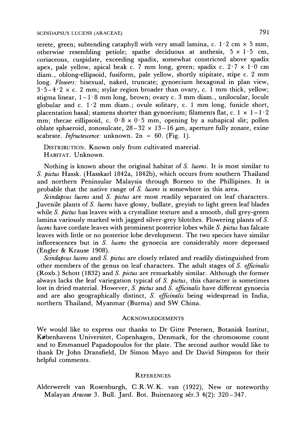terete, green; subtending cataphyll with very small lamina, c.  $1 \cdot 2$  cm  $\times$  5 mm, **otherwise resembling petiole; spathe deciduous at anthesis, 5 x 1 5 cm, coriaceous, cuspidate, exceeding spadix, somewhat constricted above spadix apex, pale yellow, apical beak c. 7 mm long, green; spadix c. 2-7 x 1 -0 cm diam., oblong-ellipsoid, fusiform, pale yellow, shortly stipitate, stipe c. 2 mm long. Flowers. bisexual, naked, truncate; gynoecium hexagonal in plan view,**   $3 \cdot 5 - 4 \cdot 2 \times c$ . 2 mm; stylar region broader than ovary, c. 1 mm thick, yellow; stigma linear,  $1 - 1.8$  mm long, brown; ovary c. 3 mm diam., unilocular, locule **globular and c. 1 2 mm diam.; ovule solitary, c. 1 mm long, funicle short,**  placentation basal; stamens shorter than gynoecium; filaments flat, c.  $1 \times 1 - 1 \cdot 2$ **mm; thecae eillipsoid, c. 0-8 x 0-5 mm, opening by a subapical slit; pollen oblate sphaeroid, zonosulcate,**  $28-32 \times 13-16 \mu m$ **, aperture fully zonate, exine scabrate. Infructescence: unknown. 2n = 60. (Fig. 1).** 

**DISTRIBUTION. Known only from cultivated material. HABITAT. Unknown.** 

**Nothing is known about the original habitat of S. lucens. It is most similar to S. pictus Hassk. (Hasskarl 1842a, 1842b), which occurs from southern Thailand and northern Peninsular Malaysia through Borneo to the Phillipines. It is**  probable that the native range of *S. lucens* is somewhere in this area.

**Scindapsus lucens and S. pictus are most readily separated on leaf characters. Juvenile plants of S. lucens have glossy, bullate, greyish to light green leaf blades while S. pictus has leaves with a crystalline texture and a smooth, dull grey-green lamina variously marked with jagged silver-grey blotches. Flowering plants of S. lucens have cordate leaves with prominent posterior lobes while S. pictus has falcate leaves with little or no posterior lobe development. The two species have similar inflorescences but in S. lucens the gynoecia are considerably more depressed (Engler & Krause 1908).** 

**Scindapsus lucens and S. pictus are closely related and readily distinguished from other members of the genus on leaf characters. The adult stages of S. officinalis (Roxb.) Schott (1832) and S. pictus are remarkably similar. Although the former always lacks the leaf variegation typical of S. pictus, this character is sometimes lost in dried material. However, S. pictus and S. officinalis have different gynoecia and are also geographically distinct, S. officinalis being widespread in India, northern Thailand, Myanmar (Burma) and SW China.** 

## **ACKNOWLEDGEMENTS**

**We would like to express our thanks to Dr Gitte Petersen, Botanisk Institut, Kobenhavens Universitet, Copenhagen, Denmark, for the chromosome count and to Emmanuel Papadopoulos for the plate. The second author would like to thank Dr John Dransfield, Dr Simon Mayo and Dr David Simpson for their helpful comments.** 

## **REFERENCES**

**Alderwerelt van Rosenburgh, C.R.W.K. van (1922), New or noteworthy**  Malayan Araceae 3. Bull. Jard. Bot. Buitenzorg sér. 3 4(2): 320-347.